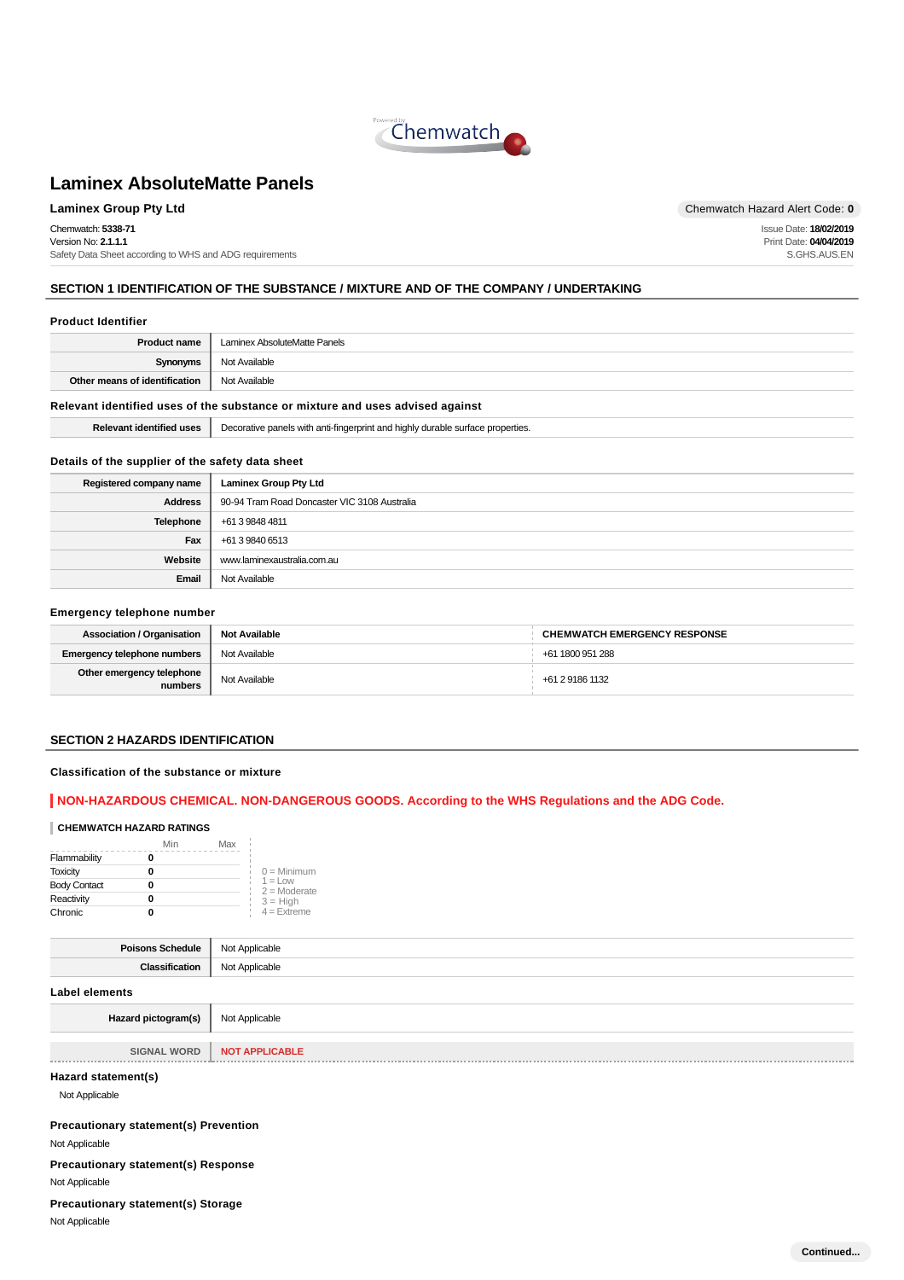

**Laminex Group Pty Ltd Chemwatch Hazard Alert Code: 0** Chemwatch: **5338-71** Version No: **2.1.1.1** Safety Data Sheet according to WHS and ADG requirements

Issue Date: **18/02/2019** Print Date: **04/04/2019** S.GHS.AUS.EN

# **SECTION 1 IDENTIFICATION OF THE SUBSTANCE / MIXTURE AND OF THE COMPANY / UNDERTAKING**

#### **Product Identifier**

| <b>Product name</b>           | Laminex AbsoluteMatte Panels |
|-------------------------------|------------------------------|
| Synonyms                      | Not Available                |
| Other means of identification | Not Available                |
|                               |                              |

# **Relevant identified uses of the substance or mixture and uses advised against**

| Rele | יממר<br>surtac<br>. orin'<br>roperties.<br>⊷<br>.<br>. |
|------|--------------------------------------------------------|
|      |                                                        |

#### **Details of the supplier of the safety data sheet**

| Registered company name | <b>Laminex Group Pty Ltd</b>                 |  |
|-------------------------|----------------------------------------------|--|
| <b>Address</b>          | 90-94 Tram Road Doncaster VIC 3108 Australia |  |
| Telephone               | +61 3 9848 4811                              |  |
| Fax                     | +61 3 9840 6513                              |  |
| Website                 | www.laminexaustralia.com.au                  |  |
| Email                   | Not Available                                |  |

#### **Emergency telephone number**

| <b>Association / Organisation</b>    | <b>Not Available</b> | <b>CHEMWATCH EMERGENCY RESPONSE</b> |
|--------------------------------------|----------------------|-------------------------------------|
| Emergency telephone numbers          | Not Available        | +61 1800 951 288                    |
| Other emergency telephone<br>numbers | Not Available        | +61 2 9186 1132                     |

# **SECTION 2 HAZARDS IDENTIFICATION**

#### **Classification of the substance or mixture**

# **NON-HAZARDOUS CHEMICAL. NON-DANGEROUS GOODS. According to the WHS Regulations and the ADG Code.**

#### **CHEMWATCH HAZARD RATINGS**

|                     | Min | Max |                              |
|---------------------|-----|-----|------------------------------|
| Flammability        |     |     |                              |
| <b>Toxicity</b>     |     |     | $0 =$ Minimum                |
| <b>Body Contact</b> |     |     | $1 = 1$ ow<br>$2 =$ Moderate |
| Reactivity          |     |     | $3 = High$                   |
| Chronic             |     |     | $4 =$ Extreme                |

| Poisons Schedule    | Not Applicable |
|---------------------|----------------|
| Classification      | Not Applicable |
| Label elements      |                |
| Hazard pictogram(s) | Not Applicable |

| <b>SIGNAL WORD</b> | <b>NOT APPLICABLE</b> |
|--------------------|-----------------------|
|                    |                       |

#### **Hazard statement(s)**

Not Applicable

**Precautionary statement(s) Prevention**

Not Applicable

**Precautionary statement(s) Response**

Not Applicable

**Precautionary statement(s) Storage**

Not Applicable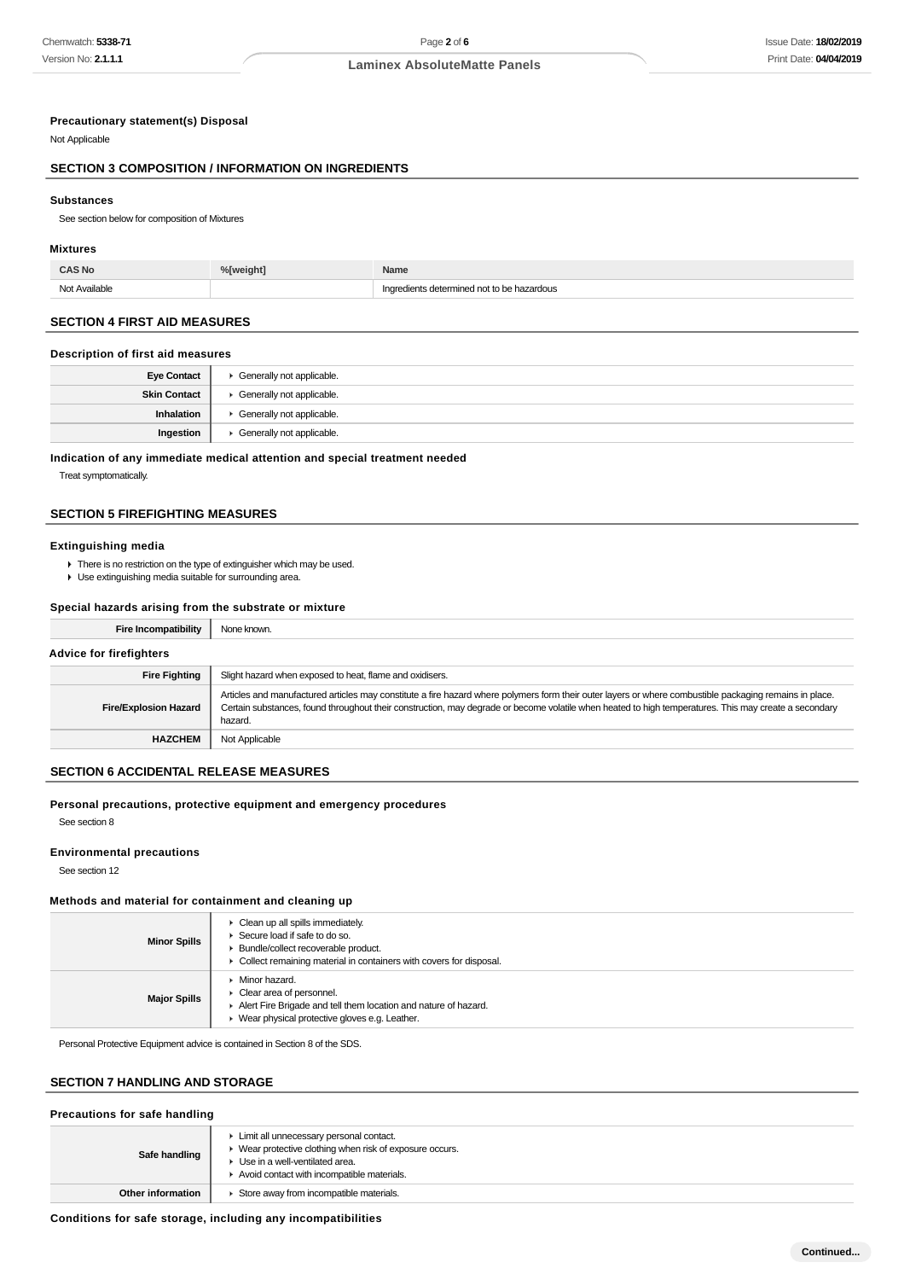#### **Precautionary statement(s) Disposal**

Not Applicable

#### **SECTION 3 COMPOSITION / INFORMATION ON INGREDIENTS**

#### **Substances**

See section below for composition of Mixtures

#### **Mixtures**

| <b>CAS No</b> | %[weight] | Name                                       |
|---------------|-----------|--------------------------------------------|
| Not Available |           | Ingredients determined not to be hazardous |

# **SECTION 4 FIRST AID MEASURES**

#### **Description of first aid measures**

| <b>Eye Contact</b>  | Generally not applicable. |
|---------------------|---------------------------|
| <b>Skin Contact</b> | Generally not applicable. |
| Inhalation          | Generally not applicable. |
| Ingestion           | Generally not applicable. |

**Indication of any immediate medical attention and special treatment needed**

Treat symptomatically.

# **SECTION 5 FIREFIGHTING MEASURES**

#### **Extinguishing media**

 $\triangleright$  There is no restriction on the type of extinguisher which may be used.

Use extinguishing media suitable for surrounding area.

# **Special hazards arising from the substrate or mixture**

| Fire Incompatibility           | None known.                                                                                                                                                                                                                                                                                                                 |  |
|--------------------------------|-----------------------------------------------------------------------------------------------------------------------------------------------------------------------------------------------------------------------------------------------------------------------------------------------------------------------------|--|
| <b>Advice for firefighters</b> |                                                                                                                                                                                                                                                                                                                             |  |
| <b>Fire Fighting</b>           | Slight hazard when exposed to heat, flame and oxidisers.                                                                                                                                                                                                                                                                    |  |
| <b>Fire/Explosion Hazard</b>   | Articles and manufactured articles may constitute a fire hazard where polymers form their outer layers or where combustible packaging remains in place.<br>Certain substances, found throughout their construction, may degrade or become volatile when heated to high temperatures. This may create a secondary<br>hazard. |  |
| <b>HAZCHEM</b>                 | Not Applicable                                                                                                                                                                                                                                                                                                              |  |

# **SECTION 6 ACCIDENTAL RELEASE MEASURES**

#### **Personal precautions, protective equipment and emergency procedures** See section 8

#### **Environmental precautions**

See section 12

#### **Methods and material for containment and cleaning up**

| <b>Minor Spills</b> | • Clean up all spills immediately.<br>Secure load if safe to do so.<br>Bundle/collect recoverable product.<br>• Collect remaining material in containers with covers for disposal. |
|---------------------|------------------------------------------------------------------------------------------------------------------------------------------------------------------------------------|
| <b>Major Spills</b> | Minor hazard.<br>$\triangleright$ Clear area of personnel.<br>Alert Fire Brigade and tell them location and nature of hazard.<br>▶ Wear physical protective gloves e.g. Leather.   |

Personal Protective Equipment advice is contained in Section 8 of the SDS.

# **SECTION 7 HANDLING AND STORAGE**

#### **Precautions for safe handling**

| Safe handling     | Limit all unnecessary personal contact.<br>Wear protective clothing when risk of exposure occurs.<br>Use in a well-ventilated area.<br>Avoid contact with incompatible materials. |  |
|-------------------|-----------------------------------------------------------------------------------------------------------------------------------------------------------------------------------|--|
| Other information | Store away from incompatible materials.                                                                                                                                           |  |

#### **Conditions for safe storage, including any incompatibilities**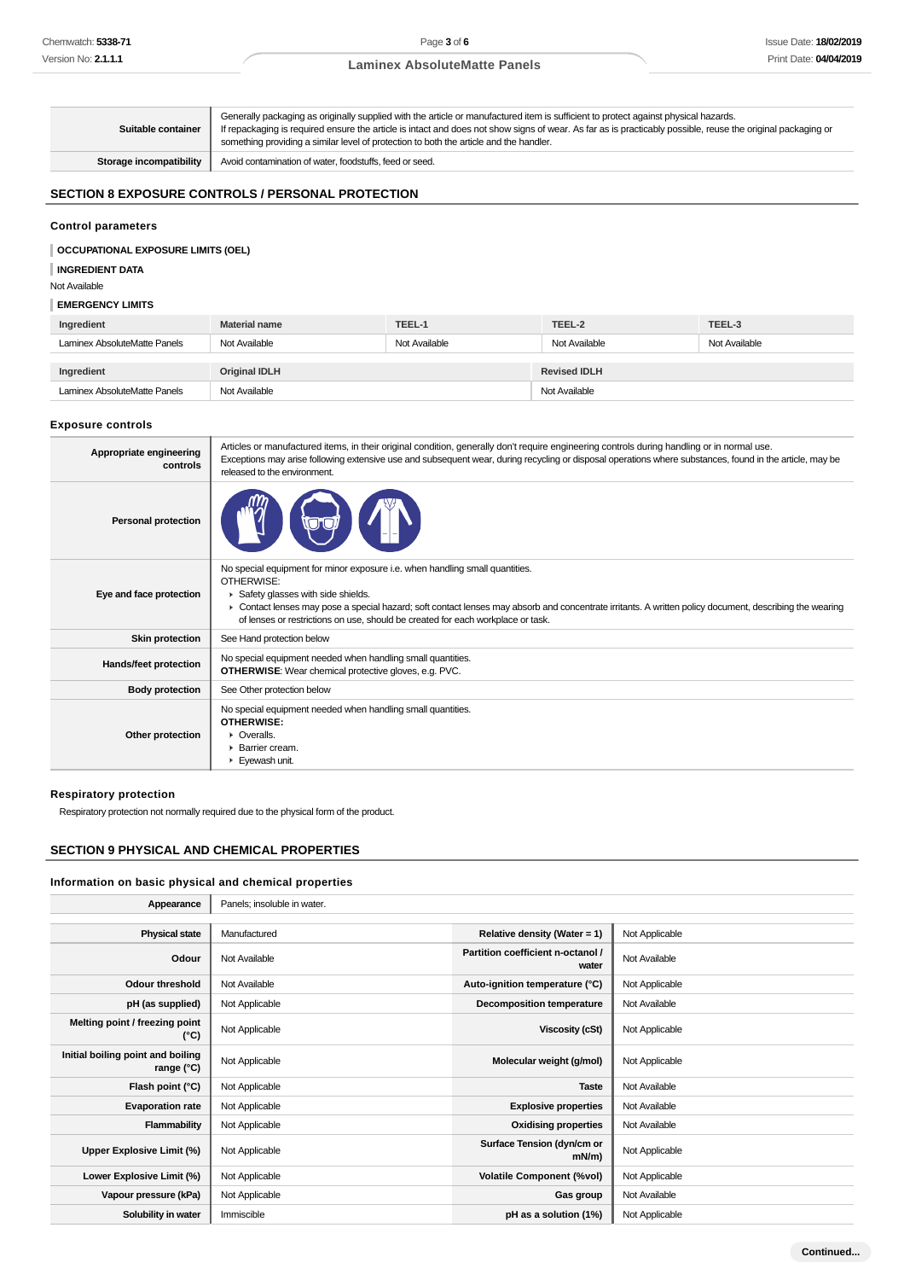# **Laminex AbsoluteMatte Panels**

| Suitable container      | Generally packaging as originally supplied with the article or manufactured item is sufficient to protect against physical hazards.<br>If repackaging is required ensure the article is intact and does not show signs of wear. As far as is practicably possible, reuse the original packaging or<br>something providing a similar level of protection to both the article and the handler. |
|-------------------------|----------------------------------------------------------------------------------------------------------------------------------------------------------------------------------------------------------------------------------------------------------------------------------------------------------------------------------------------------------------------------------------------|
| Storage incompatibility | Avoid contamination of water, foodstuffs, feed or seed.                                                                                                                                                                                                                                                                                                                                      |

# **SECTION 8 EXPOSURE CONTROLS / PERSONAL PROTECTION**

#### **Control parameters**

#### **OCCUPATIONAL EXPOSURE LIMITS (OEL)**

#### **INGREDIENT DATA**

Not Available

### **EMERGENCY LIMITS**

| Ingredient                   | <b>Material name</b> | TEEL-1        | TEEL-2              | TEEL-3        |
|------------------------------|----------------------|---------------|---------------------|---------------|
| Laminex AbsoluteMatte Panels | Not Available        | Not Available | Not Available       | Not Available |
|                              |                      |               |                     |               |
| Ingredient                   | <b>Original IDLH</b> |               | <b>Revised IDLH</b> |               |
| Laminex AbsoluteMatte Panels | Not Available        |               | Not Available       |               |

#### **Exposure controls**

| Appropriate engineering<br>controls | Articles or manufactured items, in their original condition, generally don't require engineering controls during handling or in normal use.<br>Exceptions may arise following extensive use and subsequent wear, during recycling or disposal operations where substances, found in the article, may be<br>released to the environment.                                       |
|-------------------------------------|-------------------------------------------------------------------------------------------------------------------------------------------------------------------------------------------------------------------------------------------------------------------------------------------------------------------------------------------------------------------------------|
| <b>Personal protection</b>          |                                                                                                                                                                                                                                                                                                                                                                               |
| Eye and face protection             | No special equipment for minor exposure i.e. when handling small quantities.<br>OTHERWISE:<br>Safety glasses with side shields.<br>► Contact lenses may pose a special hazard; soft contact lenses may absorb and concentrate irritants. A written policy document, describing the wearing<br>of lenses or restrictions on use, should be created for each workplace or task. |
| <b>Skin protection</b>              | See Hand protection below                                                                                                                                                                                                                                                                                                                                                     |
| Hands/feet protection               | No special equipment needed when handling small quantities.<br><b>OTHERWISE:</b> Wear chemical protective gloves, e.g. PVC.                                                                                                                                                                                                                                                   |
| <b>Body protection</b>              | See Other protection below                                                                                                                                                                                                                                                                                                                                                    |
| Other protection                    | No special equipment needed when handling small quantities.<br><b>OTHERWISE:</b><br>$\triangleright$ Overalls.<br>$\blacktriangleright$ Barrier cream.<br>Eyewash unit.                                                                                                                                                                                                       |

#### **Respiratory protection**

Respiratory protection not normally required due to the physical form of the product.

# **SECTION 9 PHYSICAL AND CHEMICAL PROPERTIES**

#### **Information on basic physical and chemical properties**

| Appearance                                        | Panels; insoluble in water. |                                            |                |
|---------------------------------------------------|-----------------------------|--------------------------------------------|----------------|
|                                                   |                             |                                            |                |
| <b>Physical state</b>                             | Manufactured                | Relative density (Water = $1$ )            | Not Applicable |
| Odour                                             | Not Available               | Partition coefficient n-octanol /<br>water | Not Available  |
| <b>Odour threshold</b>                            | Not Available               | Auto-ignition temperature (°C)             | Not Applicable |
| pH (as supplied)                                  | Not Applicable              | Decomposition temperature                  | Not Available  |
| Melting point / freezing point<br>(°C)            | Not Applicable              | Viscosity (cSt)                            | Not Applicable |
| Initial boiling point and boiling<br>range $(°C)$ | Not Applicable              | Molecular weight (g/mol)                   | Not Applicable |
| Flash point (°C)                                  | Not Applicable              | <b>Taste</b>                               | Not Available  |
| <b>Evaporation rate</b>                           | Not Applicable              | <b>Explosive properties</b>                | Not Available  |
| Flammability                                      | Not Applicable              | <b>Oxidising properties</b>                | Not Available  |
| Upper Explosive Limit (%)                         | Not Applicable              | Surface Tension (dyn/cm or<br>$mN/m$ )     | Not Applicable |
| Lower Explosive Limit (%)                         | Not Applicable              | <b>Volatile Component (%vol)</b>           | Not Applicable |
| Vapour pressure (kPa)                             | Not Applicable              | Gas group                                  | Not Available  |
| Solubility in water                               | Immiscible                  | pH as a solution (1%)                      | Not Applicable |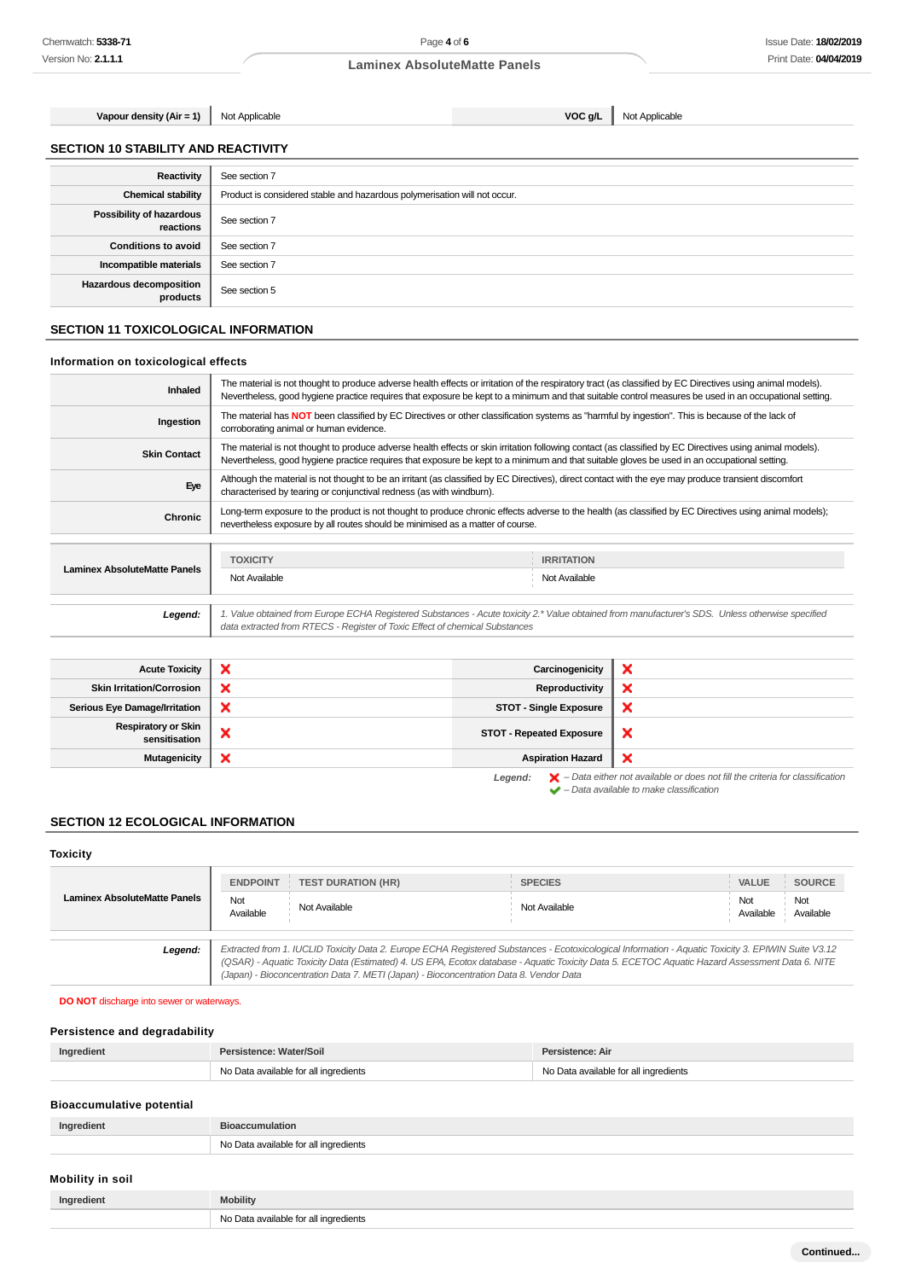**Vapour density (Air = 1)** Not Applicable **VOC g/L** Not Applicable

# **SECTION 10 STABILITY AND REACTIVITY**

| Reactivity                            | See section 7                                                             |
|---------------------------------------|---------------------------------------------------------------------------|
| <b>Chemical stability</b>             | Product is considered stable and hazardous polymerisation will not occur. |
| Possibility of hazardous<br>reactions | See section 7                                                             |
| <b>Conditions to avoid</b>            | See section 7                                                             |
| Incompatible materials                | See section 7                                                             |
| Hazardous decomposition<br>products   | See section 5                                                             |

# **SECTION 11 TOXICOLOGICAL INFORMATION**

#### **Information on toxicological effects**

| <b>Inhaled</b>                      | The material is not thought to produce adverse health effects or irritation of the respiratory tract (as classified by EC Directives using animal models).<br>Nevertheless, good hygiene practice requires that exposure be kept to a minimum and that suitable control measures be used in an occupational setting. |                                                                                                                                                  |  |
|-------------------------------------|----------------------------------------------------------------------------------------------------------------------------------------------------------------------------------------------------------------------------------------------------------------------------------------------------------------------|--------------------------------------------------------------------------------------------------------------------------------------------------|--|
| Ingestion                           | The material has NOT been classified by EC Directives or other classification systems as "harmful by ingestion". This is because of the lack of<br>corroborating animal or human evidence.                                                                                                                           |                                                                                                                                                  |  |
| <b>Skin Contact</b>                 | The material is not thought to produce adverse health effects or skin irritation following contact (as classified by EC Directives using animal models).<br>Nevertheless, good hygiene practice requires that exposure be kept to a minimum and that suitable gloves be used in an occupational setting.             |                                                                                                                                                  |  |
| Eye                                 | Although the material is not thought to be an irritant (as classified by EC Directives), direct contact with the eye may produce transient discomfort<br>characterised by tearing or conjunctival redness (as with windburn).                                                                                        |                                                                                                                                                  |  |
| Chronic                             | Long-term exposure to the product is not thought to produce chronic effects adverse to the health (as classified by EC Directives using animal models);<br>nevertheless exposure by all routes should be minimised as a matter of course.                                                                            |                                                                                                                                                  |  |
| <b>Laminex AbsoluteMatte Panels</b> | <b>TOXICITY</b>                                                                                                                                                                                                                                                                                                      | <b>IRRITATION</b>                                                                                                                                |  |
|                                     | Not Available                                                                                                                                                                                                                                                                                                        | Not Available                                                                                                                                    |  |
| Legend:                             | data extracted from RTECS - Register of Toxic Effect of chemical Substances                                                                                                                                                                                                                                          | 1. Value obtained from Europe ECHA Registered Substances - Acute toxicity 2.* Value obtained from manufacturer's SDS. Unless otherwise specified |  |

| <b>Acute Toxicity</b>                       | $\boldsymbol{\mathsf{x}}$ | Carcinogenicity                 | ×                                                                                                                                                                   |
|---------------------------------------------|---------------------------|---------------------------------|---------------------------------------------------------------------------------------------------------------------------------------------------------------------|
| <b>Skin Irritation/Corrosion</b>            | ×                         | Reproductivity                  | ×                                                                                                                                                                   |
| <b>Serious Eye Damage/Irritation</b>        | ×                         | <b>STOT - Single Exposure</b>   | ×                                                                                                                                                                   |
| <b>Respiratory or Skin</b><br>sensitisation | ×                         | <b>STOT - Repeated Exposure</b> | $\boldsymbol{\mathsf{x}}$                                                                                                                                           |
| Mutagenicity                                | ×                         | <b>Aspiration Hazard</b>        | ×                                                                                                                                                                   |
|                                             |                           | Legend:                         | $\blacktriangleright$ - Data either not available or does not fill the criteria for classification<br>$\blacktriangleright$ - Data available to make classification |

# **SECTION 12 ECOLOGICAL INFORMATION**

# **Toxicity**

| <b>Laminex AbsoluteMatte Panels</b> | <b>ENDPOINT</b><br>Not<br>Available | <b>TEST DURATION (HR)</b><br>Not Available                                             | <b>SPECIES</b><br>Not Available                                                                                                                                                                                                                                                                       | <b>VALUE</b><br>Not<br>Available | <b>SOURCE</b><br>Not<br>Available |
|-------------------------------------|-------------------------------------|----------------------------------------------------------------------------------------|-------------------------------------------------------------------------------------------------------------------------------------------------------------------------------------------------------------------------------------------------------------------------------------------------------|----------------------------------|-----------------------------------|
| Legend:                             |                                     | (Japan) - Bioconcentration Data 7. METI (Japan) - Bioconcentration Data 8. Vendor Data | Extracted from 1. IUCLID Toxicity Data 2. Europe ECHA Registered Substances - Ecotoxicological Information - Aquatic Toxicity 3. EPIWIN Suite V3.12<br>(QSAR) - Aquatic Toxicity Data (Estimated) 4. US EPA, Ecotox database - Aquatic Toxicity Data 5. ECETOC Aquatic Hazard Assessment Data 6. NITE |                                  |                                   |

#### **DO NOT** discharge into sewer or waterways.

# **Persistence and degradability**

| Ingredient | Persistence: Water/Soil               | Persistence: Air                      |
|------------|---------------------------------------|---------------------------------------|
|            | No Data available for all ingredients | No Data available for all ingredients |

# **Bioaccumulative potential**

| Ingredient |                                                 |
|------------|-------------------------------------------------|
|            | - No F<br>oredients<br>$\cdot$ overlaps.<br>∩~∗ |

# **Mobility in soil**

| Ingredient | <b>Mobility</b>                                      |
|------------|------------------------------------------------------|
|            | No Data available for all ingredients<br>$\sim$<br>. |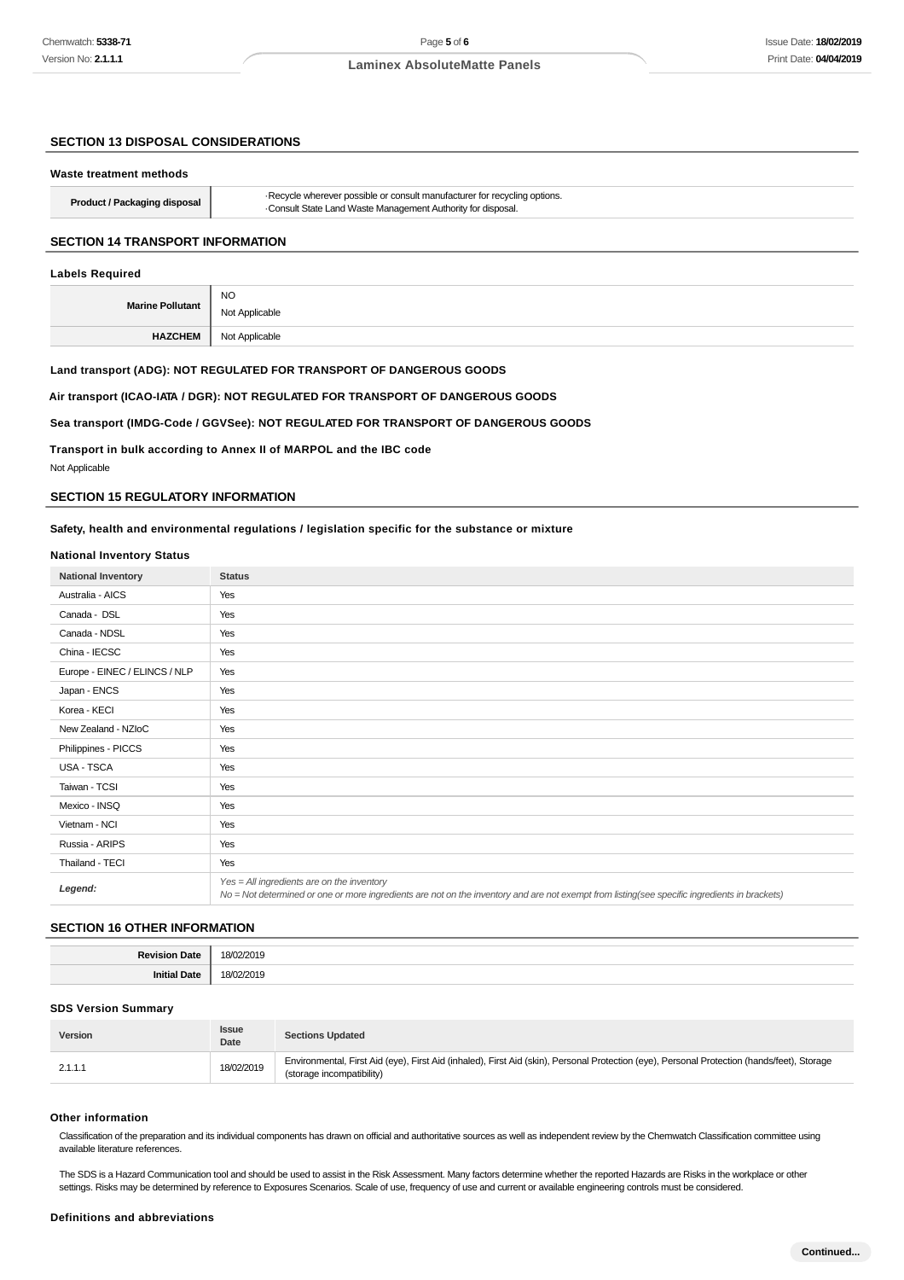# **SECTION 13 DISPOSAL CONSIDERATIONS**

| Waste treatment methods                 |                                                                                                                                         |
|-----------------------------------------|-----------------------------------------------------------------------------------------------------------------------------------------|
| <b>Product / Packaging disposal</b>     | Recycle wherever possible or consult manufacturer for recycling options.<br>Consult State Land Waste Management Authority for disposal. |
| <b>SECTION 14 TRANSPORT INFORMATION</b> |                                                                                                                                         |

#### **Labels Required**

| Mar              | <b>NO</b>      |
|------------------|----------------|
| ⊶une Pollutant → | Not Applicable |
| <b>HAZGHEM</b>   | Not Applicable |

#### **Land transport (ADG): NOT REGULATED FOR TRANSPORT OF DANGEROUS GOODS**

#### **Air transport (ICAO-IATA / DGR): NOT REGULATED FOR TRANSPORT OF DANGEROUS GOODS**

# **Sea transport (IMDG-Code / GGVSee): NOT REGULATED FOR TRANSPORT OF DANGEROUS GOODS**

**Transport in bulk according to Annex II of MARPOL and the IBC code** Not Applicable

# **SECTION 15 REGULATORY INFORMATION**

#### **Safety, health and environmental regulations / legislation specific for the substance or mixture**

#### **National Inventory Status**

| <b>National Inventory</b>     | <b>Status</b>                                                                                                                                                                               |  |  |
|-------------------------------|---------------------------------------------------------------------------------------------------------------------------------------------------------------------------------------------|--|--|
| Australia - AICS              | Yes                                                                                                                                                                                         |  |  |
| Canada - DSL                  | Yes                                                                                                                                                                                         |  |  |
| Canada - NDSL                 | Yes                                                                                                                                                                                         |  |  |
| China - IECSC                 | Yes                                                                                                                                                                                         |  |  |
| Europe - EINEC / ELINCS / NLP | Yes                                                                                                                                                                                         |  |  |
| Japan - ENCS                  | Yes                                                                                                                                                                                         |  |  |
| Korea - KECI                  | Yes                                                                                                                                                                                         |  |  |
| New Zealand - NZIoC           | Yes                                                                                                                                                                                         |  |  |
| Philippines - PICCS           | Yes                                                                                                                                                                                         |  |  |
| USA - TSCA                    | Yes                                                                                                                                                                                         |  |  |
| Taiwan - TCSI                 | Yes                                                                                                                                                                                         |  |  |
| Mexico - INSQ                 | Yes                                                                                                                                                                                         |  |  |
| Vietnam - NCI                 | Yes                                                                                                                                                                                         |  |  |
| Russia - ARIPS                | Yes                                                                                                                                                                                         |  |  |
| Thailand - TECI               | Yes                                                                                                                                                                                         |  |  |
| Legend:                       | Yes = All ingredients are on the inventory<br>No = Not determined or one or more ingredients are not on the inventory and are not exempt from listing(see specific ingredients in brackets) |  |  |

#### **SECTION 16 OTHER INFORMATION**

| <b>Dovie</b><br>Date<br>ז הו: | $\cdots$<br>18/02<br>17 L<br> |
|-------------------------------|-------------------------------|
| <b>Initial Date</b>           | 18/02<br>37 L .<br>.          |

#### **SDS Version Summary**

| Version | <b>Issue</b><br>Date | <b>Sections Updated</b>                                                                                                                                                  |
|---------|----------------------|--------------------------------------------------------------------------------------------------------------------------------------------------------------------------|
| 2.1.1.1 | 18/02/2019           | Environmental, First Aid (eye), First Aid (inhaled), First Aid (skin), Personal Protection (eye), Personal Protection (hands/feet), Storage<br>(storage incompatibility) |

#### **Other information**

Classification of the preparation and its individual components has drawn on official and authoritative sources as well as independent review by the Chemwatch Classification committee using available literature references.

The SDS is a Hazard Communication tool and should be used to assist in the Risk Assessment. Many factors determine whether the reported Hazards are Risks in the workplace or other settings. Risks may be determined by reference to Exposures Scenarios. Scale of use, frequency of use and current or available engineering controls must be considered.

#### **Definitions and abbreviations**